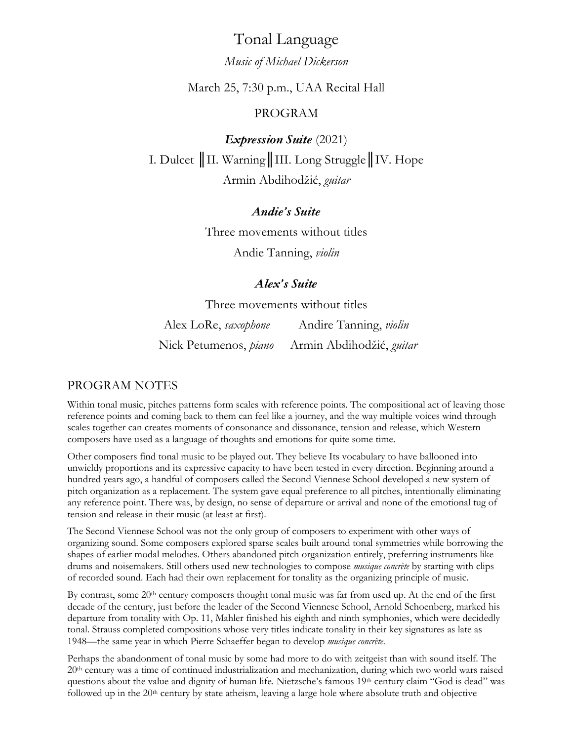# Tonal Language

# *Music of Michael Dickerson*

# March 25, 7:30 p.m., UAA Recital Hall

# PROGRAM

*Expression Suite* (2021) I. Dulcet *║*II. Warning║III. Long Struggle║IV. Hope Armin Abdihodžić, *guitar*

# *Andie's Suite*

Three movements without titles Andie Tanning, *violin*

# *Alex's Suite*

Three movements without titles

Alex LoRe, *saxophone* Andire Tanning, *violin* Nick Petumenos, *piano* Armin Abdihodžić, *guitar*

# PROGRAM NOTES

Within tonal music, pitches patterns form scales with reference points. The compositional act of leaving those reference points and coming back to them can feel like a journey, and the way multiple voices wind through scales together can creates moments of consonance and dissonance, tension and release, which Western composers have used as a language of thoughts and emotions for quite some time.

Other composers find tonal music to be played out. They believe Its vocabulary to have ballooned into unwieldy proportions and its expressive capacity to have been tested in every direction. Beginning around a hundred years ago, a handful of composers called the Second Viennese School developed a new system of pitch organization as a replacement. The system gave equal preference to all pitches, intentionally eliminating any reference point. There was, by design, no sense of departure or arrival and none of the emotional tug of tension and release in their music (at least at first).

The Second Viennese School was not the only group of composers to experiment with other ways of organizing sound. Some composers explored sparse scales built around tonal symmetries while borrowing the shapes of earlier modal melodies. Others abandoned pitch organization entirely, preferring instruments like drums and noisemakers. Still others used new technologies to compose *musique concrète* by starting with clips of recorded sound. Each had their own replacement for tonality as the organizing principle of music.

By contrast, some  $20<sup>th</sup>$  century composers thought tonal music was far from used up. At the end of the first decade of the century, just before the leader of the Second Viennese School, Arnold Schoenberg, marked his departure from tonality with Op. 11, Mahler finished his eighth and ninth symphonies, which were decidedly tonal. Strauss completed compositions whose very titles indicate tonality in their key signatures as late as 1948—the same year in which Pierre Schaeffer began to develop *musique concrète*.

Perhaps the abandonment of tonal music by some had more to do with zeitgeist than with sound itself. The 20th century was a time of continued industrialization and mechanization, during which two world wars raised questions about the value and dignity of human life. Nietzsche's famous 19th century claim "God is dead" was followed up in the 20<sup>th</sup> century by state atheism, leaving a large hole where absolute truth and objective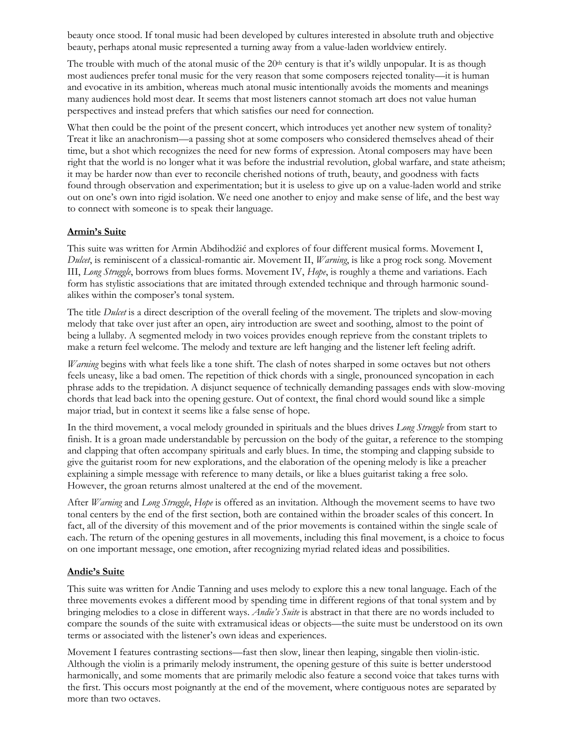beauty once stood. If tonal music had been developed by cultures interested in absolute truth and objective beauty, perhaps atonal music represented a turning away from a value-laden worldview entirely.

The trouble with much of the atonal music of the  $20<sup>th</sup>$  century is that it's wildly unpopular. It is as though most audiences prefer tonal music for the very reason that some composers rejected tonality—it is human and evocative in its ambition, whereas much atonal music intentionally avoids the moments and meanings many audiences hold most dear. It seems that most listeners cannot stomach art does not value human perspectives and instead prefers that which satisfies our need for connection.

What then could be the point of the present concert, which introduces yet another new system of tonality? Treat it like an anachronism—a passing shot at some composers who considered themselves ahead of their time, but a shot which recognizes the need for new forms of expression. Atonal composers may have been right that the world is no longer what it was before the industrial revolution, global warfare, and state atheism; it may be harder now than ever to reconcile cherished notions of truth, beauty, and goodness with facts found through observation and experimentation; but it is useless to give up on a value-laden world and strike out on one's own into rigid isolation. We need one another to enjoy and make sense of life, and the best way to connect with someone is to speak their language.

### **Armin's Suite**

This suite was written for Armin Abdihodžić and explores of four different musical forms. Movement I, *Dulcet*, is reminiscent of a classical-romantic air. Movement II, *Warning*, is like a prog rock song. Movement III, *Long Struggle*, borrows from blues forms. Movement IV, *Hope*, is roughly a theme and variations. Each form has stylistic associations that are imitated through extended technique and through harmonic soundalikes within the composer's tonal system.

The title *Dulcet* is a direct description of the overall feeling of the movement. The triplets and slow-moving melody that take over just after an open, airy introduction are sweet and soothing, almost to the point of being a lullaby. A segmented melody in two voices provides enough reprieve from the constant triplets to make a return feel welcome. The melody and texture are left hanging and the listener left feeling adrift.

*Warning* begins with what feels like a tone shift. The clash of notes sharped in some octaves but not others feels uneasy, like a bad omen. The repetition of thick chords with a single, pronounced syncopation in each phrase adds to the trepidation. A disjunct sequence of technically demanding passages ends with slow-moving chords that lead back into the opening gesture. Out of context, the final chord would sound like a simple major triad, but in context it seems like a false sense of hope.

In the third movement, a vocal melody grounded in spirituals and the blues drives *Long Struggle* from start to finish. It is a groan made understandable by percussion on the body of the guitar, a reference to the stomping and clapping that often accompany spirituals and early blues. In time, the stomping and clapping subside to give the guitarist room for new explorations, and the elaboration of the opening melody is like a preacher explaining a simple message with reference to many details, or like a blues guitarist taking a free solo. However, the groan returns almost unaltered at the end of the movement.

After *Warning* and *Long Struggle*, *Hope* is offered as an invitation. Although the movement seems to have two tonal centers by the end of the first section, both are contained within the broader scales of this concert. In fact, all of the diversity of this movement and of the prior movements is contained within the single scale of each. The return of the opening gestures in all movements, including this final movement, is a choice to focus on one important message, one emotion, after recognizing myriad related ideas and possibilities.

### **Andie's Suite**

This suite was written for Andie Tanning and uses melody to explore this a new tonal language. Each of the three movements evokes a different mood by spending time in different regions of that tonal system and by bringing melodies to a close in different ways. *Andie's Suite* is abstract in that there are no words included to compare the sounds of the suite with extramusical ideas or objects—the suite must be understood on its own terms or associated with the listener's own ideas and experiences.

Movement I features contrasting sections—fast then slow, linear then leaping, singable then violin-istic. Although the violin is a primarily melody instrument, the opening gesture of this suite is better understood harmonically, and some moments that are primarily melodic also feature a second voice that takes turns with the first. This occurs most poignantly at the end of the movement, where contiguous notes are separated by more than two octaves.